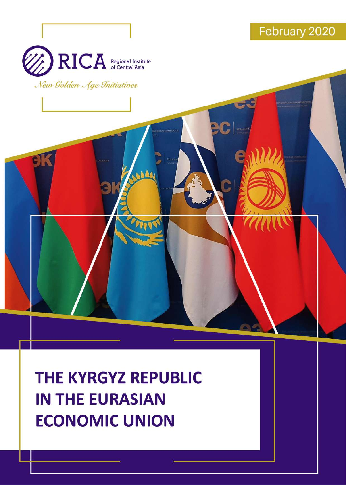

THE KYRGYZ REPUBLIC **IN THE EURASIAN ECONOMIC UNION**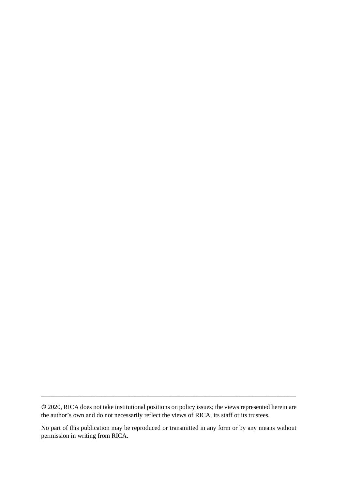© 2020, RICA does not take institutional positions on policy issues; the views represented herein are the author's own and do not necessarily reflect the views of RICA, its staff or its trustees.

\_\_\_\_\_\_\_\_\_\_\_\_\_\_\_\_\_\_\_\_\_\_\_\_\_\_\_\_\_\_\_\_\_\_\_\_\_\_\_\_\_\_\_\_\_\_\_\_\_\_\_\_\_\_\_\_\_\_\_\_\_\_\_\_\_\_\_\_\_\_\_\_\_\_\_\_\_\_\_\_

No part of this publication may be reproduced or transmitted in any form or by any means without permission in writing from RICA.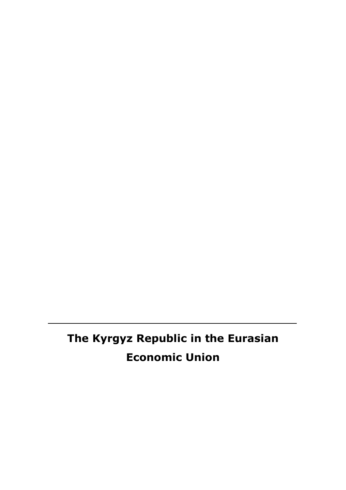# **The Kyrgyz Republic in the Eurasian Economic Union**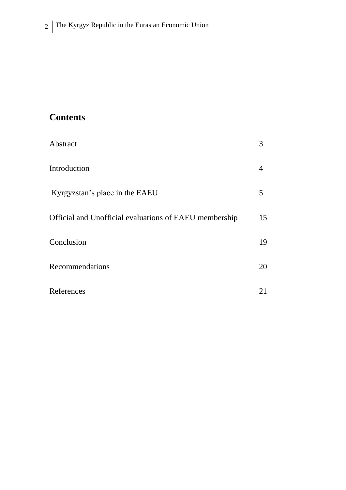## **Contents**

| Abstract                                               | 3  |
|--------------------------------------------------------|----|
| Introduction                                           | 4  |
| Kyrgyzstan's place in the EAEU                         | 5  |
| Official and Unofficial evaluations of EAEU membership | 15 |
| Conclusion                                             | 19 |
| Recommendations                                        | 20 |
| References                                             | 21 |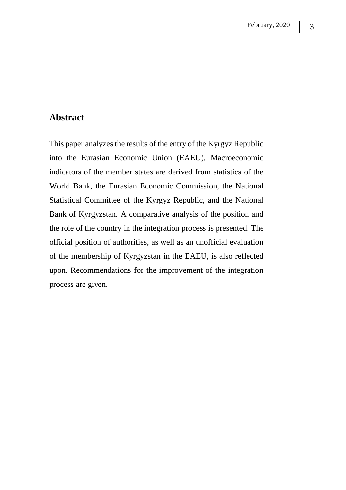#### **Abstract**

This paper analyzes the results of the entry of the Kyrgyz Republic into the Eurasian Economic Union (EAEU). Macroeconomic indicators of the member states are derived from statistics of the World Bank, the Eurasian Economic Commission, the National Statistical Committee of the Kyrgyz Republic, and the National Bank of Kyrgyzstan. A comparative analysis of the position and the role of the country in the integration process is presented. The official position of authorities, as well as an unofficial evaluation of the membership of Kyrgyzstan in the EAEU, is also reflected upon. Recommendations for the improvement of the integration process are given.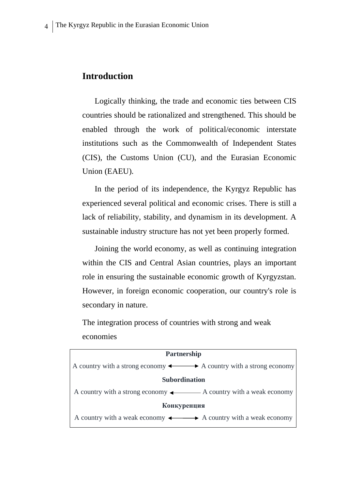### **Introduction**

Logically thinking, the trade and economic ties between CIS countries should be rationalized and strengthened. This should be enabled through the work of political/economic interstate institutions such as the Commonwealth of Independent States (CIS), the Customs Union (CU), and the Eurasian Economic Union (EAEU).

In the period of its independence, the Kyrgyz Republic has experienced several political and economic crises. There is still a lack of reliability, stability, and dynamism in its development. A sustainable industry structure has not yet been properly formed.

Joining the world economy, as well as continuing integration within the CIS and Central Asian countries, plays an important role in ensuring the sustainable economic growth of Kyrgyzstan. However, in foreign economic cooperation, our country's role is secondary in nature.

The integration process of countries with strong and weak economies

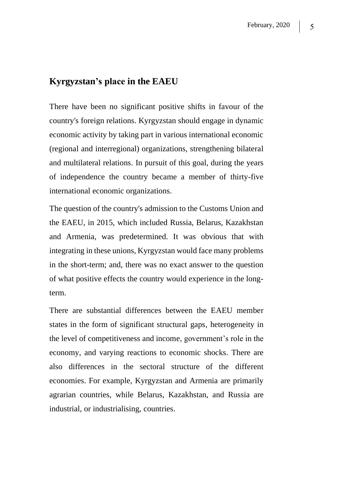#### **Kyrgyzstan's place in the EAEU**

There have been no significant positive shifts in favour of the country's foreign relations. Kyrgyzstan should engage in dynamic economic activity by taking part in various international economic (regional and interregional) organizations, strengthening bilateral and multilateral relations. In pursuit of this goal, during the years of independence the country became a member of thirty-five international economic organizations.

The question of the country's admission to the Customs Union and the EAEU, in 2015, which included Russia, Belarus, Kazakhstan and Armenia, was predetermined. It was obvious that with integrating in these unions, Kyrgyzstan would face many problems in the short-term; and, there was no exact answer to the question of what positive effects the country would experience in the longterm.

There are substantial differences between the EAEU member states in the form of significant structural gaps, heterogeneity in the level of competitiveness and income, government's role in the economy, and varying reactions to economic shocks. There are also differences in the sectoral structure of the different economies. For example, Kyrgyzstan and Armenia are primarily agrarian countries, while Belarus, Kazakhstan, and Russia are industrial, or industrialising, countries.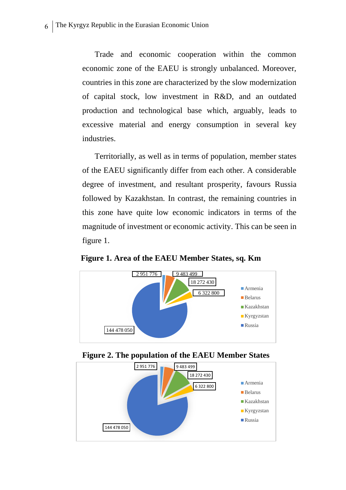Trade and economic cooperation within the common economic zone of the EAEU is strongly unbalanced. Moreover, countries in this zone are characterized by the slow modernization of capital stock, low investment in R&D, and an outdated production and technological base which, arguably, leads to excessive material and energy consumption in several key industries.

Territorially, as well as in terms of population, member states of the EAEU significantly differ from each other. A considerable degree of investment, and resultant prosperity, favours Russia followed by Kazakhstan. In contrast, the remaining countries in this zone have quite low economic indicators in terms of the magnitude of investment or economic activity. This can be seen in figure 1.

**Figure 1. Area of the EAEU Member States, sq. Km**



**Figure 2. The population of the EAEU Member States**

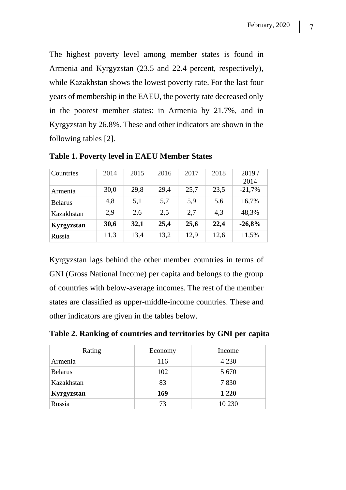The highest poverty level among member states is found in Armenia and Kyrgyzstan (23.5 and 22.4 percent, respectively), while Kazakhstan shows the lowest poverty rate. For the last four years of membership in the EAEU, the poverty rate decreased only in the poorest member states: in Armenia by 21.7%, and in Kyrgyzstan by 26.8%. These and other indicators are shown in the following tables [2].

| Countries      | 2014 | 2015 | 2016 | 2017 | 2018 | 2019/    |
|----------------|------|------|------|------|------|----------|
|                |      |      |      |      |      | 2014     |
| Armenia        | 30,0 | 29,8 | 29,4 | 25,7 | 23,5 | $-21,7%$ |
| <b>Belarus</b> | 4,8  | 5,1  | 5,7  | 5,9  | 5,6  | 16,7%    |
| Kazakhstan     | 2,9  | 2,6  | 2,5  | 2,7  | 4,3  | 48,3%    |
| Kyrgyzstan     | 30,6 | 32,1 | 25,4 | 25,6 | 22,4 | $-26,8%$ |
| Russia         | 11,3 | 13,4 | 13,2 | 12,9 | 12,6 | 11,5%    |

**Table 1. Poverty level in EAEU Member States**

Kyrgyzstan lags behind the other member countries in terms of GNI (Gross National Income) per capita and belongs to the group of countries with below-average incomes. The rest of the member states are classified as upper-middle-income countries. These and other indicators are given in the tables below.

**Table 2. Ranking of countries and territories by GNI per capita**

| Rating         | Economy | Income  |
|----------------|---------|---------|
| Armenia        | 116     | 4 2 3 0 |
| <b>Belarus</b> | 102     | 5 6 7 0 |
| Kazakhstan     | 83      | 7830    |
| Kyrgyzstan     | 169     | 1 2 2 0 |
| Russia         | 73      | 10 230  |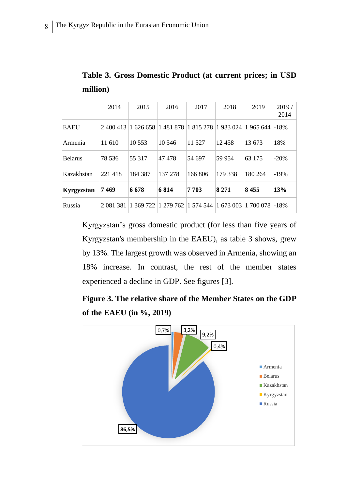|                | 2014      | 2015                | 2016    | 2017                            | 2018    | 2019      | 2019/<br>2014 |
|----------------|-----------|---------------------|---------|---------------------------------|---------|-----------|---------------|
| <b>EAEU</b>    |           | 2 400 413 1 626 658 | 1481878 | 1 815 278  1 933 024            |         | 1965644   | $-18%$        |
| Armenia        | 11 610    | 10 5 53             | 10 546  | 11 527                          | 12458   | 13 673    | 18%           |
| <b>Belarus</b> | 78 536    | 55 317              | 47478   | 54 697                          | 59 954  | 63 175    | $-20%$        |
| Kazakhstan     | 221418    | 184 387             | 137 278 | 166 806                         | 179 338 | 180 264   | $-19%$        |
| Kyrgyzstan     | 7 469     | 6678                | 6814    | 7703                            | 8 2 7 1 | 8455      | 13%           |
| Russia         | 2 081 381 | 1369722             |         | 1 279 762  1 574 544  1 673 003 |         | 1 700 078 | $-18%$        |

**Table 3. Gross Domestic Product (at current prices; in USD million)**

Kyrgyzstan's gross domestic product (for less than five years of Kyrgyzstan's membership in the EAEU), as table 3 shows, grew by 13%. The largest growth was observed in Armenia, showing an 18% increase. In contrast, the rest of the member states experienced a decline in GDP. See figures [3].

**Figure 3. The relative share of the Member States on the GDP of the EAEU (in %, 2019)**

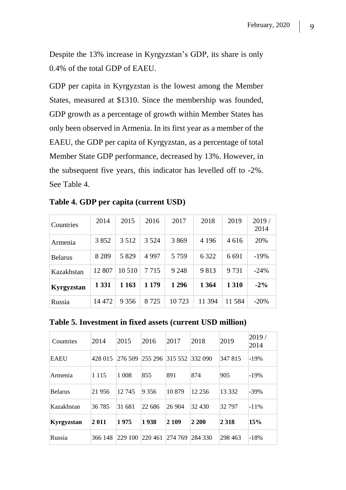Despite the 13% increase in Kyrgyzstan's GDP, its share is only 0.4% of the total GDP of EAEU.

GDP per capita in Kyrgyzstan is the lowest among the Member States, measured at \$1310. Since the membership was founded, GDP growth as a percentage of growth within Member States has only been observed in Armenia. In its first year as a member of the EAEU, the GDP per capita of Kyrgyzstan, as a percentage of total Member State GDP performance, decreased by 13%. However, in the subsequent five years, this indicator has levelled off to -2%. See Table 4.

| Countries      | 2014    | 2015    | 2016    | 2017    | 2018    | 2019    | 2019/<br>2014 |
|----------------|---------|---------|---------|---------|---------|---------|---------------|
| Armenia        | 3852    | 3 5 1 2 | 3 5 2 4 | 3869    | 4 1 9 6 | 4 6 1 6 | 20%           |
| <b>Belarus</b> | 8 2 8 9 | 5 8 2 9 | 4 9 9 7 | 5 7 5 9 | 6 3 2 2 | 6 6 9 1 | $-19%$        |
| Kazakhstan     | 12 807  | 10 510  | 7 7 1 5 | 9 2 4 8 | 9813    | 9 7 3 1 | $-24%$        |
| Kyrgyzstan     | 1 3 3 1 | 1 1 6 3 | 1 1 7 9 | 1 2 9 6 | 1 3 6 4 | 1 3 1 0 | $-2\%$        |
| Russia         | 14 472  | 9 3 5 6 | 8 7 2 5 | 10 723  | 11 394  | 11 584  | $-20\%$       |

**Table 4. GDP per capita (current USD)**

**Table 5. Investment in fixed assets (current USD million)**

| Countries      | 2014    | 2015    | 2016    | 2017    | 2018     | 2019     | 2019/<br>2014 |
|----------------|---------|---------|---------|---------|----------|----------|---------------|
| <b>EAEU</b>    | 428 015 | 276 509 | 255 296 | 315 552 | 332 090  | 347 815  | $-19%$        |
| Armenia        | 1 1 1 5 | 1 008   | 855     | 891     | 874      | 905      | $-19%$        |
| <b>Belarus</b> | 21 956  | 12 745  | 9 3 5 6 | 10879   | 12 2 5 6 | 13 3 3 2 | $-39\%$       |
| Kazakhstan     | 36 785  | 31 681  | 22 686  | 26 904  | 32 4 30  | 32 797   | $-11%$        |
| Kyrgyzstan     | 2011    | 1975    | 1938    | 2 109   | 2 200    | 2 3 1 8  | 15%           |
| Russia         | 366 148 | 229 100 | 220 461 | 274 769 | 284 330  | 298 463  | $-18%$        |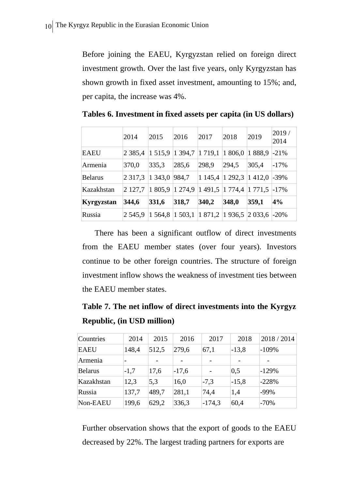Before joining the EAEU, Kyrgyzstan relied on foreign direct investment growth. Over the last five years, only Kyrgyzstan has shown growth in fixed asset investment, amounting to 15%; and, per capita, the increase was 4%.

|                | 2014        | 2015            | 2016            | 2017      | 2018            | 2019          | 2019/<br>2014 |
|----------------|-------------|-----------------|-----------------|-----------|-----------------|---------------|---------------|
| EAEU           | 2 3 8 5 4   | 1 515,9 1 394,7 |                 | 1 7 1 9 1 | 1 806,0         | 1888,9        | $-21%$        |
| Armenia        | 370,0       | 335,3           | 285,6           | 298,9     | 294,5           | 305,4         | $-17\%$       |
| <b>Belarus</b> | 2 3 1 7 , 3 | 1 3 4 3 , 0     | 984,7           |           | 1 145,4 1 292,3 | 1412,0        | $-39\%$       |
| Kazakhstan     | 2 127.7     | 1 805,9 1 274,9 |                 |           | 1 491,5 1 774,4 | $1771.5$ -17% |               |
| Kyrgyzstan     | 344,6       | 331,6           | 318,7           | 340,2     | 348,0           | 359,1         | 4%            |
| Russia         | 2 545.9     |                 | 1 564,8 1 503,1 |           | 1871,2 1936,5   | 2 033,6       | $-20%$        |

**Tables 6. Investment in fixed assets per capita (in US dollars)**

There has been a significant outflow of direct investments from the EAEU member states (over four years). Investors continue to be other foreign countries. The structure of foreign investment inflow shows the weakness of investment ties between the EAEU member states.

**Table 7. The net inflow of direct investments into the Kyrgyz Republic, (in USD million)**

| Countries      | 2014                     | 2015  | 2016    | 2017     | 2018              | 2018 / 2014 |
|----------------|--------------------------|-------|---------|----------|-------------------|-------------|
| <b>EAEU</b>    | 148,4                    | 512,5 | 279,6   | 67,1     | $-13,8$           | $-109%$     |
| Armenia        | $\overline{\phantom{0}}$ |       |         |          |                   |             |
| <b>Belarus</b> | $-1,7$                   | 17,6  | $-17,6$ |          | $\vert 0.5 \vert$ | $-129%$     |
| Kazakhstan     | 12,3                     | 5,3   | 16,0    | $-7,3$   | $-15,8$           | $-228%$     |
| Russia         | 137,7                    | 489,7 | 281,1   | 74,4     | 1,4               | $-99%$      |
| Non-EAEU       | 199,6                    | 629,2 | 336,3   | $-174,3$ | 60,4              | $-70%$      |

Further observation shows that the export of goods to the EAEU decreased by 22%. The largest trading partners for exports are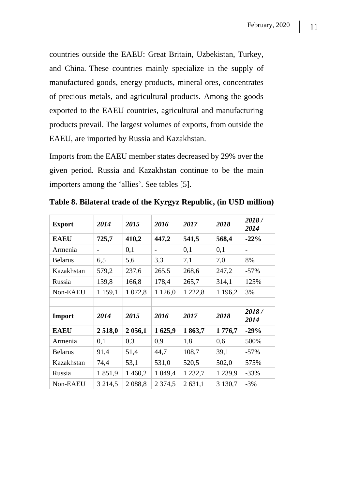countries outside the EAEU: Great Britain, Uzbekistan, Turkey, and China. These countries mainly specialize in the supply of manufactured goods, energy products, mineral ores, concentrates of precious metals, and agricultural products. Among the goods exported to the EAEU countries, agricultural and manufacturing products prevail. The largest volumes of exports, from outside the EAEU, are imported by Russia and Kazakhstan.

Imports from the EAEU member states decreased by 29% over the given period. Russia and Kazakhstan continue to be the main importers among the 'allies'. See tables [5].

| <b>Export</b>  | 2014    | 2015       | 2016                     | 2017        | 2018        | 2018/<br>2014            |
|----------------|---------|------------|--------------------------|-------------|-------------|--------------------------|
| <b>EAEU</b>    | 725,7   | 410,2      | 447,2                    | 541,5       | 568,4       | $-22%$                   |
| Armenia        | -       | 0,1        | $\overline{\phantom{0}}$ | 0,1         | 0,1         | $\overline{\phantom{0}}$ |
| <b>Belarus</b> | 6,5     | 5,6        | 3,3                      | 7,1         | 7,0         | 8%                       |
| Kazakhstan     | 579,2   | 237,6      | 265,5                    | 268,6       | 247,2       | $-57\%$                  |
| Russia         | 139,8   | 166,8      | 178,4                    | 265,7       | 314,1       | 125%                     |
| Non-EAEU       | 1 159,1 | 1 0 7 2, 8 | 1 1 2 6,0                | 1 2 2 2 , 8 | 1 1 9 6, 2  | 3%                       |
|                |         |            |                          |             |             |                          |
| Import         | 2014    | 2015       | 2016                     | 2017        | 2018        | 2018/<br>2014            |
| <b>EAEU</b>    | 2518,0  | 2 0 5 6, 1 | 1625,9                   | 1863,7      | 1776,7      | $-29%$                   |
| Armenia        | 0,1     | 0,3        | 0,9                      | 1,8         | 0,6         | 500%                     |
| <b>Belarus</b> | 91,4    | 51,4       | 44,7                     | 108,7       | 39,1        | $-57\%$                  |
| Kazakhstan     | 74,4    | 53,1       | 531,0                    | 520,5       | 502,0       | 575%                     |
| Russia         | 1851,9  | 1 460,2    | 1 049,4                  | 1 2 3 2, 7  | 1 239,9     | $-33%$                   |
| Non-EAEU       |         |            | 2 3 7 4 5                |             | 3 1 3 0 , 7 | $-3%$                    |

**Table 8. Bilateral trade of the Kyrgyz Republic, (in USD million)**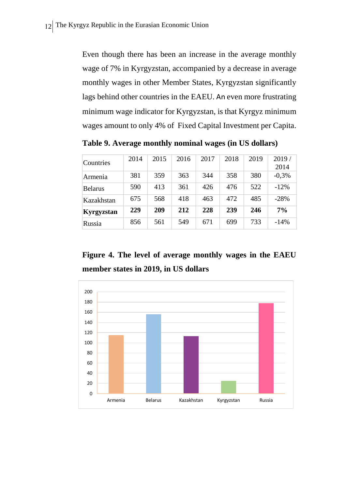Even though there has been an increase in the average monthly wage of 7% in Kyrgyzstan, accompanied by a decrease in average monthly wages in other Member States, Kyrgyzstan significantly lags behind other countries in the EAEU. An even more frustrating minimum wage indicator for Kyrgyzstan, is that Kyrgyz minimum wages amount to only 4% of Fixed Capital Investment per Capita.

Countries <sup>2014</sup> <sup>2015</sup> <sup>2016</sup> <sup>2017</sup> <sup>2018</sup> <sup>2019</sup> 2019 / 2014 Armenia | 381 | 359 | 363 | 344 | 358 | 380 | -0,3% Belarus | 590 | 413 | 361 | 426 | 476 | 522 | -12% Kazakhstan | 675 | 568 | 418 | 463 | 472 | 485 | -28% **Kyrgyzstan 229 209 212 228 239 246 7%** Russia 856 561 549 671 699 733 -14%

**Table 9. Average monthly nominal wages (in US dollars)**

**Figure 4. The level of average monthly wages in the EAEU member states in 2019, in US dollars**

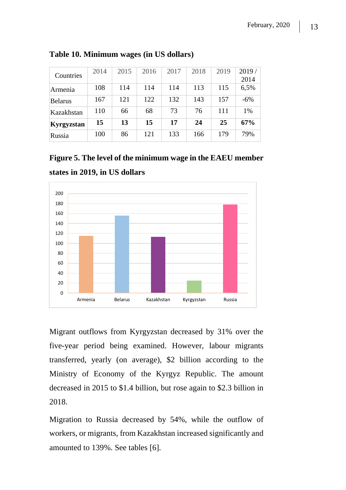| Countries  | 2014 | 2015 | 2016 | 2017 | 2018 | 2019 | 2019/<br>2014 |
|------------|------|------|------|------|------|------|---------------|
| Armenia    | 108  | 114  | 114  | 114  | 113  | 115  | 6,5%          |
| Belarus    | 167  | 121  | 122  | 132  | 143  | 157  | $-6%$         |
| Kazakhstan | 110  | 66   | 68   | 73   | 76   | 111  | 1%            |
| Kyrgyzstan | 15   | 13   | 15   | 17   | 24   | 25   | 67%           |
| Russia     | 100  | 86   | 121  | 133  | 166  | 179  | 79%           |

**Table 10. Minimum wages (in US dollars)**

**Figure 5. The level of the minimum wage in the EAEU member states in 2019, in US dollars**



Migrant outflows from Kyrgyzstan decreased by 31% over the five-year period being examined. However, labour migrants transferred, yearly (on average), \$2 billion according to the Ministry of Economy of the Kyrgyz Republic. The amount decreased in 2015 to \$1.4 billion, but rose again to \$2.3 billion in 2018.

Migration to Russia decreased by 54%, while the outflow of workers, or migrants, from Kazakhstan increased significantly and amounted to 139%. See tables [6].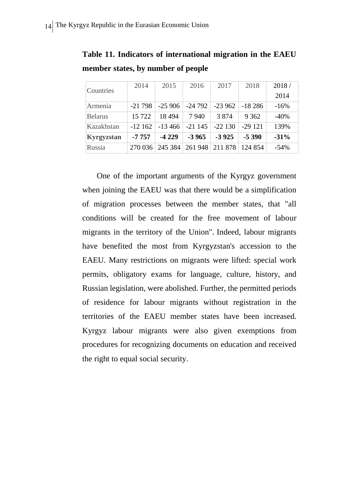| Countries         | 2014     | 2015      | 2016     | 2017     | 2018     | 2018/  |
|-------------------|----------|-----------|----------|----------|----------|--------|
|                   |          |           |          |          |          | 2014   |
| Armenia           | $-21798$ | $-25906$  | -24 792  | $-23962$ | $-18286$ | $-16%$ |
| <b>Belarus</b>    | 15 722   | 18494     | 7940     | 3 8 7 4  | 9 3 6 2  | $-40%$ |
| Kazakhstan        | $-12162$ | $-13,466$ | $-21145$ | $-22130$ | $-29121$ | 139%   |
| <b>Kyrgyzstan</b> | $-7757$  | $-4229$   | $-3965$  | $-3925$  | $-5390$  | $-31%$ |
| Russia            | 270036   | 245 384   | 261 948  | 211 878  | 124 854  | $-54%$ |

**Table 11. Indicators of international migration in the EAEU member states, by number of people**

One of the important arguments of the Kyrgyz government when joining the EAEU was that there would be a simplification of migration processes between the member states, that "all conditions will be created for the free movement of labour migrants in the territory of the Union". Indeed, labour migrants have benefited the most from Kyrgyzstan's accession to the EAEU. Many restrictions on migrants were lifted: special work permits, obligatory exams for language, culture, history, and Russian legislation, were abolished. Further, the permitted periods of residence for labour migrants without registration in the territories of the EAEU member states have been increased. Kyrgyz labour migrants were also given exemptions from procedures for recognizing documents on education and received the right to equal social security.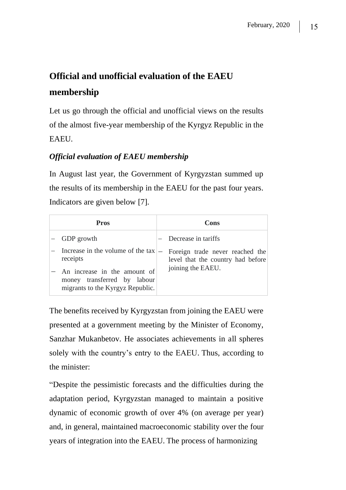## **Official and unofficial evaluation of the EAEU membership**

Let us go through the official and unofficial views on the results of the almost five-year membership of the Kyrgyz Republic in the **EAEU** 

#### *Official evaluation of EAEU membership*

In August last year, the Government of Kyrgyzstan summed up the results of its membership in the EAEU for the past four years. Indicators are given below [7].

| Pros                                                                                                                                             | Cons                                                                                      |
|--------------------------------------------------------------------------------------------------------------------------------------------------|-------------------------------------------------------------------------------------------|
| GDP growth                                                                                                                                       | Decrease in tariffs                                                                       |
| Increase in the volume of the tax<br>receipts<br>An increase in the amount of<br>money transferred by labour<br>migrants to the Kyrgyz Republic. | Foreign trade never reached the<br>level that the country had before<br>joining the EAEU. |

The benefits received by Kyrgyzstan from joining the EAEU were presented at a government meeting by the Minister of Economy, Sanzhar Mukanbetov. He associates achievements in all spheres solely with the country's entry to the EAEU. Thus, according to the minister:

"Despite the pessimistic forecasts and the difficulties during the adaptation period, Kyrgyzstan managed to maintain a positive dynamic of economic growth of over 4% (on average per year) and, in general, maintained macroeconomic stability over the four years of integration into the EAEU. The process of harmonizing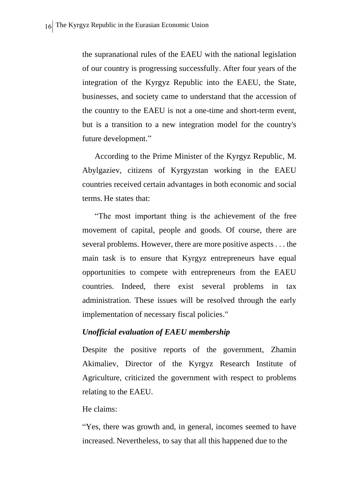the supranational rules of the EAEU with the national legislation of our country is progressing successfully. After four years of the integration of the Kyrgyz Republic into the EAEU, the State, businesses, and society came to understand that the accession of the country to the EAEU is not a one-time and short-term event, but is a transition to a new integration model for the country's future development."

According to the Prime Minister of the Kyrgyz Republic, M. Abylgaziev, citizens of Kyrgyzstan working in the EAEU countries received certain advantages in both economic and social terms. He states that:

"The most important thing is the achievement of the free movement of capital, people and goods. Of course, there are several problems. However, there are more positive aspects . . . the main task is to ensure that Kyrgyz entrepreneurs have equal opportunities to compete with entrepreneurs from the EAEU countries. Indeed, there exist several problems in tax administration. These issues will be resolved through the early implementation of necessary fiscal policies."

#### *Unofficial evaluation of EAEU membership*

Despite the positive reports of the government, Zhamin Akimaliev, Director of the Kyrgyz Research Institute of Agriculture, criticized the government with respect to problems relating to the EAEU.

#### He claims:

"Yes, there was growth and, in general, incomes seemed to have increased. Nevertheless, to say that all this happened due to the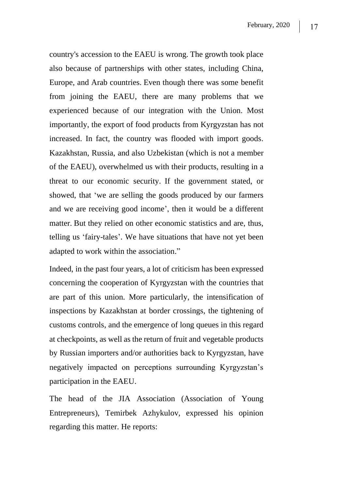country's accession to the EAEU is wrong. The growth took place also because of partnerships with other states, including China, Europe, and Arab countries. Even though there was some benefit from joining the EAEU, there are many problems that we experienced because of our integration with the Union. Most importantly, the export of food products from Kyrgyzstan has not increased. In fact, the country was flooded with import goods. Kazakhstan, Russia, and also Uzbekistan (which is not a member of the EAEU), overwhelmed us with their products, resulting in a threat to our economic security. If the government stated, or showed, that 'we are selling the goods produced by our farmers and we are receiving good income', then it would be a different matter. But they relied on other economic statistics and are, thus, telling us 'fairy-tales'. We have situations that have not yet been adapted to work within the association."

Indeed, in the past four years, a lot of criticism has been expressed concerning the cooperation of Kyrgyzstan with the countries that are part of this union. More particularly, the intensification of inspections by Kazakhstan at border crossings, the tightening of customs controls, and the emergence of long queues in this regard at checkpoints, as well as the return of fruit and vegetable products by Russian importers and/or authorities back to Kyrgyzstan, have negatively impacted on perceptions surrounding Kyrgyzstan's participation in the EAEU.

The head of the JIA Association (Association of Young Entrepreneurs), Temirbek Azhykulov, expressed his opinion regarding this matter. He reports: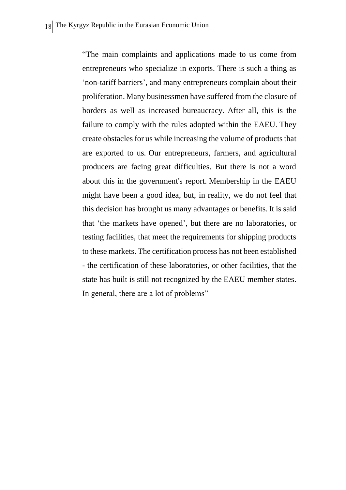"The main complaints and applications made to us come from entrepreneurs who specialize in exports. There is such a thing as 'non-tariff barriers', and many entrepreneurs complain about their proliferation. Many businessmen have suffered from the closure of borders as well as increased bureaucracy. After all, this is the failure to comply with the rules adopted within the EAEU. They create obstacles for us while increasing the volume of products that are exported to us. Our entrepreneurs, farmers, and agricultural producers are facing great difficulties. But there is not a word about this in the government's report. Membership in the EAEU might have been a good idea, but, in reality, we do not feel that this decision has brought us many advantages or benefits. It is said that 'the markets have opened', but there are no laboratories, or testing facilities, that meet the requirements for shipping products to these markets. The certification process has not been established - the certification of these laboratories, or other facilities, that the state has built is still not recognized by the EAEU member states. In general, there are a lot of problems"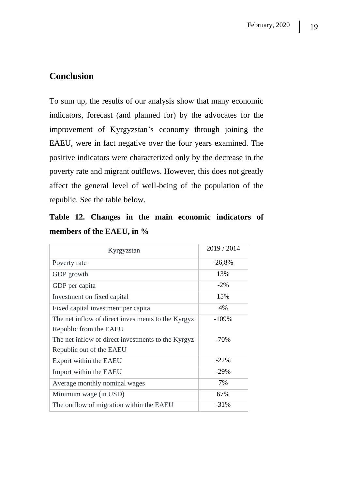## **Conclusion**

To sum up, the results of our analysis show that many economic indicators, forecast (and planned for) by the advocates for the improvement of Kyrgyzstan's economy through joining the EAEU, were in fact negative over the four years examined. The positive indicators were characterized only by the decrease in the poverty rate and migrant outflows. However, this does not greatly affect the general level of well-being of the population of the republic. See the table below.

**Table 12. Changes in the main economic indicators of members of the EAEU, in %**

| Kyrgyzstan                                          | 2019 / 2014 |
|-----------------------------------------------------|-------------|
| Poverty rate                                        | $-26,8%$    |
| GDP growth                                          | 13%         |
| GDP per capita                                      | $-2\%$      |
| Investment on fixed capital                         | 15%         |
| Fixed capital investment per capita                 | 4%          |
| The net inflow of direct investments to the Kyrgyz. | $-109%$     |
| Republic from the EAEU                              |             |
| The net inflow of direct investments to the Kyrgyz  | $-70%$      |
| Republic out of the EAEU                            |             |
| Export within the EAEU                              | $-22%$      |
| Import within the EAEU                              | $-29%$      |
| Average monthly nominal wages                       | 7%          |
| Minimum wage (in USD)                               | 67%         |
| The outflow of migration within the EAEU            | $-31%$      |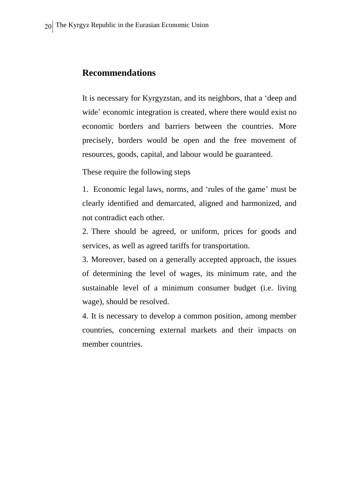#### **Recommendations**

It is necessary for Kyrgyzstan, and its neighbors, that a 'deep and wide' economic integration is created, where there would exist no economic borders and barriers between the countries. More precisely, borders would be open and the free movement of resources, goods, capital, and labour would be guaranteed.

These require the following steps

1. Economic legal laws, norms, and 'rules of the game' must be clearly identified and demarcated, aligned and harmonized, and not contradict each other.

2. There should be agreed, or uniform, prices for goods and services, as well as agreed tariffs for transportation.

3. Moreover, based on a generally accepted approach, the issues of determining the level of wages, its minimum rate, and the sustainable level of a minimum consumer budget (i.e. living wage), should be resolved.

4. It is necessary to develop a common position, among member countries, concerning external markets and their impacts on member countries.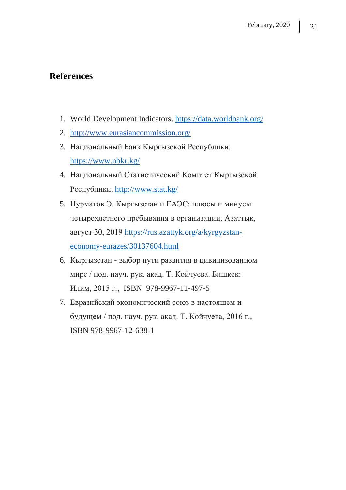## **References**

- 1. World Development Indicators. <https://data.worldbank.org/>
- 2. <http://www.eurasiancommission.org/>
- 3. Национальный Банк Кыргызской Республики. <https://www.nbkr.kg/>
- 4. Национальный Статистический Комитет Кыргызской Республики. <http://www.stat.kg/>
- 5. Нурматов Э. Кыргызстан и ЕАЭС: плюсы и минусы четырехлетнего пребывания в организации, Азаттык, август 30, 2019 [https://rus.azattyk.org/a/kyrgyzstan](https://rus.azattyk.org/a/kyrgyzstan-economy-eurazes/30137604.html)[economy-eurazes/30137604.html](https://rus.azattyk.org/a/kyrgyzstan-economy-eurazes/30137604.html)
- 6. Кыргызстан выбор пути развития в цивилизованном мире / под. науч. рук. акад. Т. Койчуева. Бишкек: Илим, 2015 г., ISBN 978-9967-11-497-5
- 7. Евразийский экономический союз в настоящем и будущем / под. науч. рук. акад. Т. Койчуева, 2016 г., ISBN 978-9967-12-638-1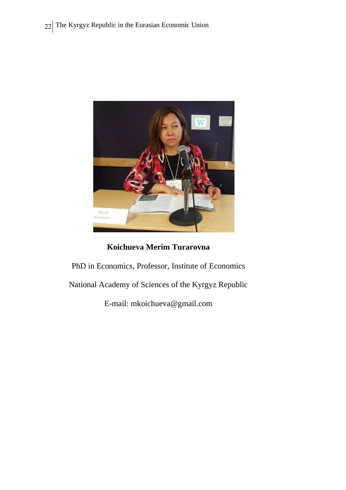

### **Koichueva Merim Turarovna**

PhD in Economics, Professor, Institute of Economics

National Academy of Sciences of the Kyrgyz Republic

E-mail: mkoichueva@gmail.com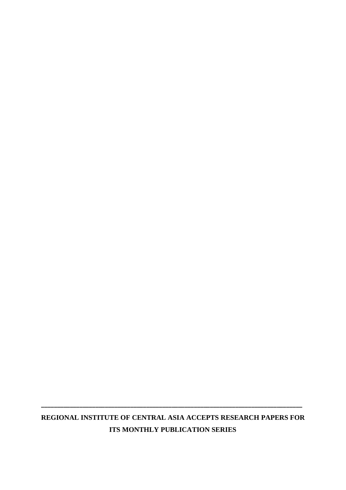## **REGIONAL INSTITUTE OF CENTRAL ASIA ACCEPTS RESEARCH PAPERS FOR ITS MONTHLY PUBLICATION SERIES**

**\_\_\_\_\_\_\_\_\_\_\_\_\_\_\_\_\_\_\_\_\_\_\_\_\_\_\_\_\_\_\_\_\_\_\_\_\_\_\_\_\_\_\_\_\_\_\_\_\_\_\_\_\_\_\_\_\_\_\_\_\_\_\_\_\_\_\_\_\_\_\_\_\_\_\_\_\_\_\_\_\_\_**